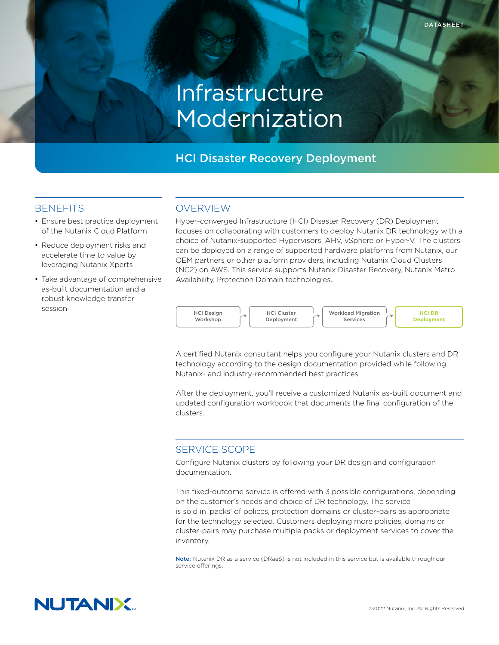# **Infrastructure** Modernization

# HCI Disaster Recovery Deployment

#### **BENEFITS**

- Ensure best practice deployment of the Nutanix Cloud Platform
- Reduce deployment risks and accelerate time to value by leveraging Nutanix Xperts
- Take advantage of comprehensive as-built documentation and a robust knowledge transfer session

## OVERVIEW

Hyper-converged Infrastructure (HCI) Disaster Recovery (DR) Deployment focuses on collaborating with customers to deploy Nutanix DR technology with a choice of Nutanix-supported Hypervisors: AHV, vSphere or Hyper-V. The clusters can be deployed on a range of supported hardware platforms from Nutanix, our OEM partners or other platform providers, including Nutanix Cloud Clusters (NC2) on AWS. This service supports Nutanix Disaster Recovery, Nutanix Metro Availability, Protection Domain technologies.



A certified Nutanix consultant helps you configure your Nutanix clusters and DR technology according to the design documentation provided while following Nutanix- and industry-recommended best practices.

After the deployment, you'll receive a customized Nutanix as-built document and updated configuration workbook that documents the final configuration of the clusters.

## SERVICE SCOPE

Configure Nutanix clusters by following your DR design and configuration documentation.

This fixed-outcome service is offered with 3 possible configurations, depending on the customer's needs and choice of DR technology. The service is sold in 'packs' of polices, protection domains or cluster-pairs as appropriate for the technology selected. Customers deploying more policies, domains or cluster-pairs may purchase multiple packs or deployment services to cover the inventory.

Note: Nutanix DR as a service (DRaaS) is not included in this service but is available through our service offerings.

# **NUTANIX**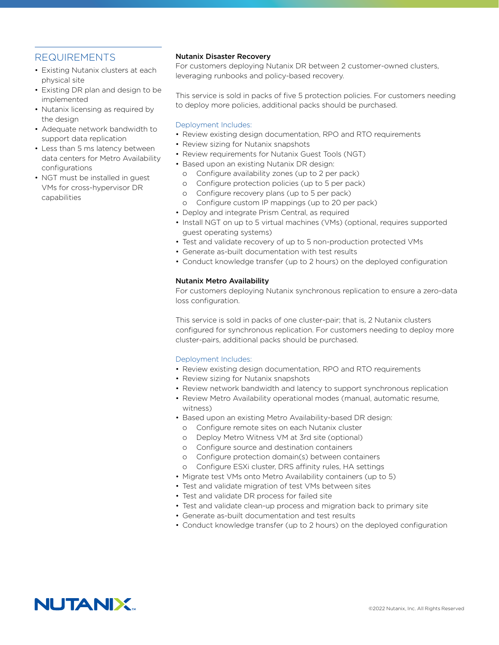# REQUIREMENTS

- Existing Nutanix clusters at each physical site
- Existing DR plan and design to be implemented
- Nutanix licensing as required by the design
- Adequate network bandwidth to support data replication
- Less than 5 ms latency between data centers for Metro Availability configurations
- NGT must be installed in guest VMs for cross-hypervisor DR capabilities

#### Nutanix Disaster Recovery

For customers deploying Nutanix DR between 2 customer-owned clusters, leveraging runbooks and policy-based recovery.

This service is sold in packs of five 5 protection policies. For customers needing to deploy more policies, additional packs should be purchased.

#### Deployment Includes:

- Review existing design documentation, RPO and RTO requirements
- Review sizing for Nutanix snapshots
- Review requirements for Nutanix Guest Tools (NGT)
- Based upon an existing Nutanix DR design:
	- o Configure availability zones (up to 2 per pack)
	- o Configure protection policies (up to 5 per pack)
	- o Configure recovery plans (up to 5 per pack)
	- o Configure custom IP mappings (up to 20 per pack)
- Deploy and integrate Prism Central, as required
- Install NGT on up to 5 virtual machines (VMs) (optional, requires supported guest operating systems)
- Test and validate recovery of up to 5 non-production protected VMs
- Generate as-built documentation with test results
- Conduct knowledge transfer (up to 2 hours) on the deployed configuration

#### Nutanix Metro Availability

For customers deploying Nutanix synchronous replication to ensure a zero-data loss configuration.

This service is sold in packs of one cluster-pair; that is, 2 Nutanix clusters configured for synchronous replication. For customers needing to deploy more cluster-pairs, additional packs should be purchased.

#### Deployment Includes:

- Review existing design documentation, RPO and RTO requirements
- Review sizing for Nutanix snapshots
- Review network bandwidth and latency to support synchronous replication
- Review Metro Availability operational modes (manual, automatic resume, witness)
- Based upon an existing Metro Availability-based DR design:
	- o Configure remote sites on each Nutanix cluster
	- o Deploy Metro Witness VM at 3rd site (optional)
	- o Configure source and destination containers
	- o Configure protection domain(s) between containers
	- o Configure ESXi cluster, DRS affinity rules, HA settings
- Migrate test VMs onto Metro Availability containers (up to 5)
- Test and validate migration of test VMs between sites
- Test and validate DR process for failed site
- Test and validate clean-up process and migration back to primary site
- Generate as-built documentation and test results
- Conduct knowledge transfer (up to 2 hours) on the deployed configuration